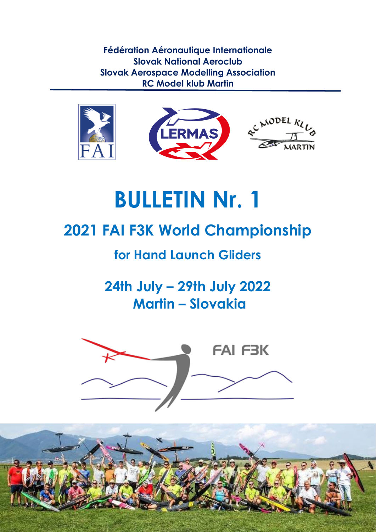**Fédération Aéronautique Internationale Slovak National Aeroclub Slovak Aerospace Modelling Association RC Model klub Martin** 



# **BULLETIN Nr. 1**

# **2021 FAI F3K World Championship**

# **for Hand Launch Gliders**

**24th July – 29th July 2022 Martin – Slovakia**



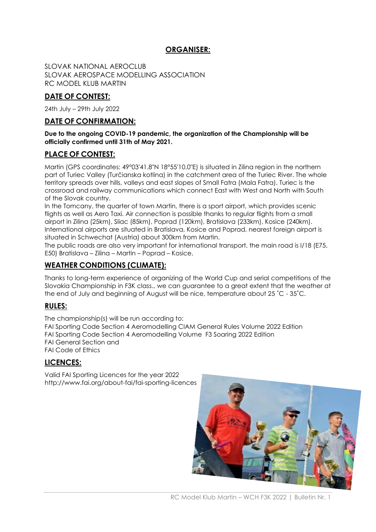#### **ORGANISER:**

SLOVAK NATIONAL AEROCLUB SLOVAK AEROSPACE MODELLING ASSOCIATION RC MODEL KLUB MARTIN

#### **DATE OF CONTEST:**

24th July – 29th July 2022

#### **DATE OF CONFIRMATION:**

#### **Due to the ongoing COVID-19 pandemic, the organization of the Championship will be officially confirmed until 31th of May 2021.**

#### **PLACE OF CONTEST:**

Martin (GPS coordinates: 49°03'41.8"N 18°55'10.0"E) is situated in Zilina region in the northern part of Turiec Valley (Turčianska kotlina) in the catchment area of the Turiec River. The whole territory spreads over hills, valleys and east slopes of Small Fatra (Mala Fatra). Turiec is the crossroad and railway communications which connect East with West and North with South of the Slovak country.

In the Tomcany, the quarter of town Martin, there is a sport airport, which provides scenic flights as well as Aero Taxi. Air connection is possible thanks to regular flights from a small airport in Zilina (25km), Sliac (85km), Poprad (120km), Bratislava (233km), Kosice (240km). International airports are situated in Bratislava, Kosice and Poprad, nearest foreign airport is situated in Schwechat (Austria) about 300km from Martin.

The public roads are also very important for international transport, the main road is I/18 (E75, E50) Bratislava – Zilina – Martin – Poprad – Kosice.

#### **WEATHER CONDITIONS (CLIMATE):**

Thanks to long-term experience of organizing of the World Cup and serial competitions of the Slovakia Championship in F3K class., we can guarantee to a great extent that the weather at the end of July and beginning of August will be nice, temperature about 25 ˚C - 35˚C.

#### **RULES:**

The championship(s) will be run according to:

FAI Sporting Code Section 4 Aeromodelling CIAM General Rules Volume 2022 Edition FAI Sporting Code Section 4 Aeromodelling Volume F3 Soaring 2022 Edition FAI General Section and FAI Code of Ethics

#### **LICENCES:**

Valid FAI Sporting Licences for the year 2022 http://www.fai.org/about-fai/fai-sporting-licences

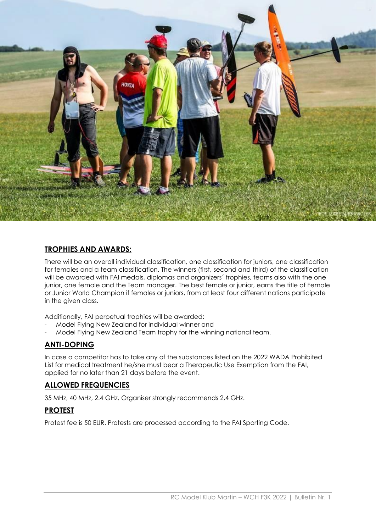

#### **TROPHIES AND AWARDS:**

There will be an overall individual classification, one classification for juniors, one classification for females and a team classification. The winners (first, second and third) of the classification will be awarded with FAI medals, diplomas and organizers´ trophies, teams also with the one junior, one female and the Team manager. The best female or junior, earns the title of Female or Junior World Champion if females or juniors, from at least four different nations participate in the given class.

Additionally, FAI perpetual trophies will be awarded:

- Model Flying New Zealand for individual winner and
- Model Flying New Zealand Team trophy for the winning national team.

#### **ANTI-DOPING**

In case a competitor has to take any of the substances listed on the 2022 WADA Prohibited List for medical treatment he/she must bear a Therapeutic Use Exemption from the FAI, applied for no later than 21 days before the event.

#### **ALLOWED FREQUENCIES**

35 MHz, 40 MHz, 2.4 GHz. Organiser strongly recommends 2,4 GHz.

#### **PROTEST**

Protest fee is 50 EUR. Protests are processed according to the FAI Sporting Code.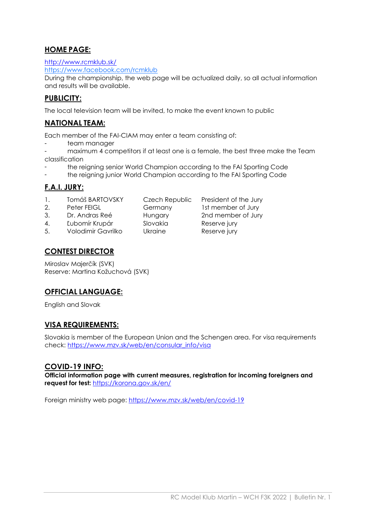#### **HOME PAGE:**

<http://www.rcmklub.sk/>

<https://www.facebook.com/rcmklub>

During the championship, the web page will be actualized daily, so all actual information and results will be available.

#### **PUBLICITY:**

The local television team will be invited, to make the event known to public

#### **NATIONAL TEAM:**

Each member of the FAI-CIAM may enter a team consisting of:

- team manager
- maximum 4 competitors if at least one is a female, the best three make the Team classification
- the reigning senior World Champion according to the FAI Sporting Code
- the reigning junior World Champion according to the FAI Sporting Code

#### **F.A.I. JURY:**

- 1. Tomáš BARTOVSKY Czech Republic President of the Jury
- 2. Peter FEIGL Germany 1st member of Jury
- 3. Dr. Andras Reé Hungary 2nd member of Jury
- 
- 4. Ľubomír Krupár Slovakia Reserve jury
- 5. Volodimir Gavrilko Ukraine Reserve jury
- **CONTEST DIRECTOR**

Miroslav Majerčík (SVK) Reserve: Martina Kožuchová (SVK)

#### **OFFICIAL LANGUAGE:**

English and Slovak

#### **VISA REQUIREMENTS:**

Slovakia is member of the European Union and the Schengen area. For visa requirements check: [https://www.mzv.sk/web/en/consular\\_info/visa](https://www.mzv.sk/web/en/consular_info/visa)

#### **COVID-19 INFO:**

**Official information page with current measures, registration for incoming foreigners and request for test:** <https://korona.gov.sk/en/>

Foreign ministry web page:<https://www.mzv.sk/web/en/covid-19>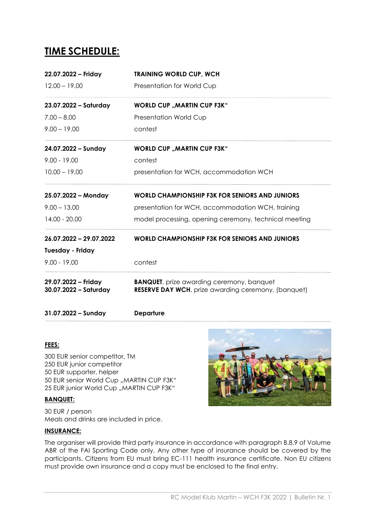### **TIME SCHEDULE:**

| 29.07.2022 - Friday<br>30.07.2022 - Saturday | <b>BANQUET</b> , prize awarding ceremony, banquet<br><b>RESERVE DAY WCH</b> , prize awarding ceremony, (banquet) |  |
|----------------------------------------------|------------------------------------------------------------------------------------------------------------------|--|
| $9.00 - 19.00$                               | contest                                                                                                          |  |
| <b>Tuesday - Friday</b>                      |                                                                                                                  |  |
| 26.07.2022 - 29.07.2022                      | <b>WORLD CHAMPIONSHIP F3K FOR SENIORS AND JUNIORS</b>                                                            |  |
| 14.00 - 20.00                                | model processing, opening ceremony, technical meeting                                                            |  |
| $9.00 - 13.00$                               | presentation for WCH, accommodation WCH, training                                                                |  |
| 25.07.2022 - Monday                          | WORLD CHAMPIONSHIP F3K FOR SENIORS AND JUNIORS                                                                   |  |
| $10.00 - 19.00$                              | presentation for WCH, accommodation WCH                                                                          |  |
| $9.00 - 19.00$                               | contest                                                                                                          |  |
| 24.07.2022 - Sunday                          | <b>WORLD CUP "MARTIN CUP F3K"</b>                                                                                |  |
| $9.00 - 19.00$                               | contest                                                                                                          |  |
| $7.00 - 8.00$                                | Presentation World Cup                                                                                           |  |
| 23.07.2022 - Saturday                        | <b>WORLD CUP "MARTIN CUP F3K"</b>                                                                                |  |
| $12.00 - 19.00$                              | Presentation for World Cup                                                                                       |  |
| 22.07.2022 - Friday                          | <b>TRAINING WORLD CUP, WCH</b>                                                                                   |  |

**31.07.2022 – Sunday Departure**

#### **FEES:**

300 EUR senior competitor, TM 250 EUR junior competitor 50 EUR supporter, helper 50 EUR senior World Cup "MARTIN CUP F3K" 25 EUR junior World Cup "MARTIN CUP F3K"

#### **BANQUET:**

30 EUR / person Meals and drinks are included in price.

#### **INSURANCE:**

The organiser will provide third party insurance in accordance with paragraph B.8.9 of Volume ABR of the FAI Sporting Code only. Any other type of insurance should be covered by the participants. Citizens from EU must bring EC-111 health insurance certificate. Non EU citizens must provide own insurance and a copy must be enclosed to the final entry.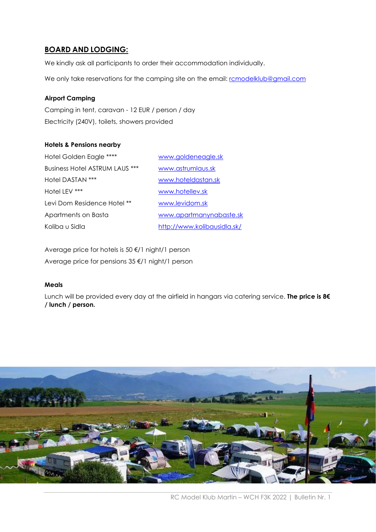#### **BOARD AND LODGING:**

We kindly ask all participants to order their accommodation individually.

We only take reservations for the camping site on the email: [rcmodelklub@gmail.com](mailto:rcmodelklub@gmail.com)

#### **Airport Camping**

Camping in tent, caravan - 12 EUR / person / day Electricity (240V), toilets, showers provided

#### **Hotels & Pensions nearby**

| Hotel Golden Eagle ****        | www.goldeneagle.sk          |
|--------------------------------|-----------------------------|
| Business Hotel ASTRUM LAUS *** | www.astrumlaus.sk           |
| Hotel DASTAN ***               | www.hoteldastan.sk          |
| Hotel LEV ***                  | www.hotellev.sk             |
| Levi Dom Residence Hotel **    | www.levidom.sk              |
| Apartments on Basta            | www.apartmanynabaste.sk     |
| Koliba u Sidla                 | http://www.kolibausidla.sk/ |

Average price for hotels is 50 €/1 night/1 person Average price for pensions 35 €/1 night/1 person

#### **Meals**

Lunch will be provided every day at the airfield in hangars via catering service. **The price is 8€ / lunch / person.**

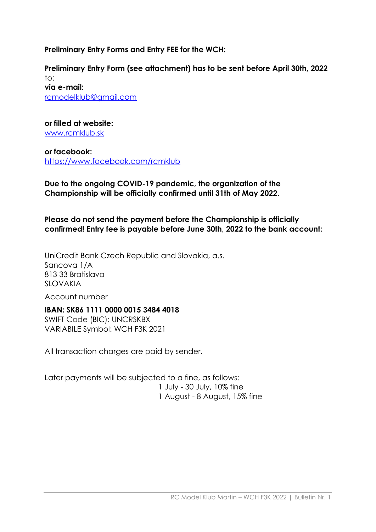**Preliminary Entry Forms and Entry FEE for the WCH:**

**Preliminary Entry Form (see attachment) has to be sent before April 30th, 2022** to: **via e-mail:** rcmodelklub@gmail.com

**or filled at website:** [www.rcmklub.sk](http://www.rcmklub.sk/)

**or facebook:** <https://www.facebook.com/rcmklub>

**Due to the ongoing COVID-19 pandemic, the organization of the Championship will be officially confirmed until 31th of May 2022.** 

**Please do not send the payment before the Championship is officially confirmed! Entry fee is payable before June 30th, 2022 to the bank account:**

UniCredit Bank Czech Republic and Slovakia, a.s. Sancova 1/A 813 33 Bratislava SLOVAKIA

Account number

#### **IBAN: SK86 1111 0000 0015 3484 4018**

SWIFT Code (BIC): UNCRSKBX VARIABILE Symbol: WCH F3K 2021

All transaction charges are paid by sender.

Later payments will be subjected to a fine, as follows: 1 July - 30 July, 10% fine 1 August - 8 August, 15% fine